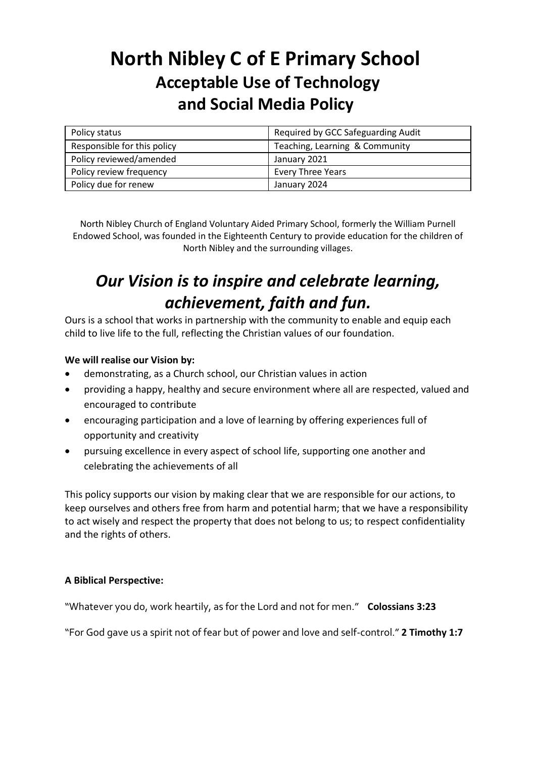# **North Nibley C of E Primary School Acceptable Use of Technology and Social Media Policy**

| Policy status               | Required by GCC Safeguarding Audit |
|-----------------------------|------------------------------------|
| Responsible for this policy | Teaching, Learning & Community     |
| Policy reviewed/amended     | January 2021                       |
| Policy review frequency     | <b>Every Three Years</b>           |
| Policy due for renew        | January 2024                       |

North Nibley Church of England Voluntary Aided Primary School, formerly the William Purnell Endowed School, was founded in the Eighteenth Century to provide education for the children of North Nibley and the surrounding villages.

# *Our Vision is to inspire and celebrate learning, achievement, faith and fun.*

Ours is a school that works in partnership with the community to enable and equip each child to live life to the full, reflecting the Christian values of our foundation.

### **We will realise our Vision by:**

- demonstrating, as a Church school, our Christian values in action
- providing a happy, healthy and secure environment where all are respected, valued and encouraged to contribute
- encouraging participation and a love of learning by offering experiences full of opportunity and creativity
- pursuing excellence in every aspect of school life, supporting one another and celebrating the achievements of all

This policy supports our vision by making clear that we are responsible for our actions, to keep ourselves and others free from harm and potential harm; that we have a responsibility to act wisely and respect the property that does not belong to us; to respect confidentiality and the rights of others.

### **A Biblical Perspective:**

"Whatever you do, work heartily, as for the Lord and not for men." **Colossians 3:23** 

"For God gave us a spirit not of fear but of power and love and self-control." **2 Timothy 1:7**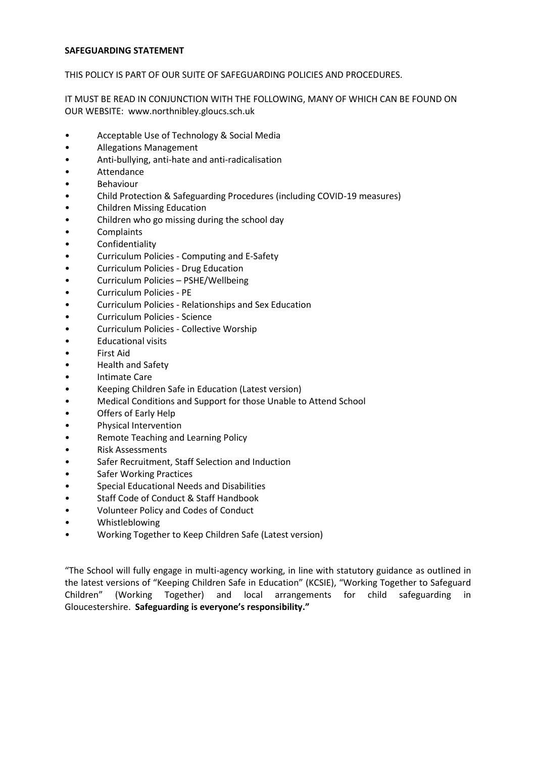#### **SAFEGUARDING STATEMENT**

THIS POLICY IS PART OF OUR SUITE OF SAFEGUARDING POLICIES AND PROCEDURES.

IT MUST BE READ IN CONJUNCTION WITH THE FOLLOWING, MANY OF WHICH CAN BE FOUND ON OUR WEBSITE: www.northnibley.gloucs.sch.uk

- Acceptable Use of Technology & Social Media
- Allegations Management
- Anti-bullying, anti-hate and anti-radicalisation
- **Attendance**
- **Behaviour**
- Child Protection & Safeguarding Procedures (including COVID-19 measures)
- Children Missing Education
- Children who go missing during the school day
- **Complaints**
- **Confidentiality**
- Curriculum Policies Computing and E-Safety
- Curriculum Policies Drug Education
- Curriculum Policies PSHE/Wellbeing
- Curriculum Policies PE
- Curriculum Policies Relationships and Sex Education
- Curriculum Policies Science
- Curriculum Policies Collective Worship
- Educational visits
- First Aid
- Health and Safety
- **Intimate Care**
- Keeping Children Safe in Education (Latest version)
- Medical Conditions and Support for those Unable to Attend School
- Offers of Early Help
- Physical Intervention
- Remote Teaching and Learning Policy
- Risk Assessments
- Safer Recruitment, Staff Selection and Induction
- **Safer Working Practices**
- Special Educational Needs and Disabilities
- Staff Code of Conduct & Staff Handbook
- Volunteer Policy and Codes of Conduct
- Whistleblowing
- Working Together to Keep Children Safe (Latest version)

"The School will fully engage in multi-agency working, in line with statutory guidance as outlined in the latest versions of "Keeping Children Safe in Education" (KCSIE), "Working Together to Safeguard Children" (Working Together) and local arrangements for child safeguarding in Gloucestershire. **Safeguarding is everyone's responsibility."**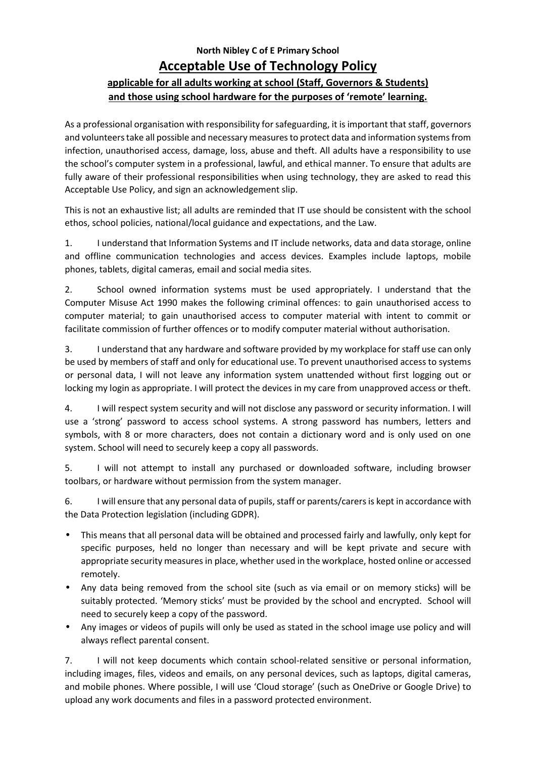## **North Nibley C of E Primary School Acceptable Use of Technology Policy applicable for all adults working at school (Staff, Governors & Students) and those using school hardware for the purposes of 'remote' learning.**

As a professional organisation with responsibility for safeguarding, it is important that staff, governors and volunteerstake all possible and necessary measures to protect data and information systems from infection, unauthorised access, damage, loss, abuse and theft. All adults have a responsibility to use the school's computer system in a professional, lawful, and ethical manner. To ensure that adults are fully aware of their professional responsibilities when using technology, they are asked to read this Acceptable Use Policy, and sign an acknowledgement slip.

This is not an exhaustive list; all adults are reminded that IT use should be consistent with the school ethos, school policies, national/local guidance and expectations, and the Law.

1. I understand that Information Systems and IT include networks, data and data storage, online and offline communication technologies and access devices. Examples include laptops, mobile phones, tablets, digital cameras, email and social media sites.

2. School owned information systems must be used appropriately. I understand that the Computer Misuse Act 1990 makes the following criminal offences: to gain unauthorised access to computer material; to gain unauthorised access to computer material with intent to commit or facilitate commission of further offences or to modify computer material without authorisation.

3. I understand that any hardware and software provided by my workplace for staff use can only be used by members of staff and only for educational use. To prevent unauthorised access to systems or personal data, I will not leave any information system unattended without first logging out or locking my login as appropriate. I will protect the devices in my care from unapproved access or theft.

4. I will respect system security and will not disclose any password or security information. I will use a 'strong' password to access school systems. A strong password has numbers, letters and symbols, with 8 or more characters, does not contain a dictionary word and is only used on one system. School will need to securely keep a copy all passwords.

5. I will not attempt to install any purchased or downloaded software, including browser toolbars, or hardware without permission from the system manager.

6. I will ensure that any personal data of pupils, staff or parents/carers is kept in accordance with the Data Protection legislation (including GDPR).

- This means that all personal data will be obtained and processed fairly and lawfully, only kept for specific purposes, held no longer than necessary and will be kept private and secure with appropriate security measures in place, whether used in the workplace, hosted online or accessed remotely.
- Any data being removed from the school site (such as via email or on memory sticks) will be suitably protected. 'Memory sticks' must be provided by the school and encrypted. School will need to securely keep a copy of the password.
- Any images or videos of pupils will only be used as stated in the school image use policy and will always reflect parental consent.

7. I will not keep documents which contain school-related sensitive or personal information, including images, files, videos and emails, on any personal devices, such as laptops, digital cameras, and mobile phones. Where possible, I will use 'Cloud storage' (such as OneDrive or Google Drive) to upload any work documents and files in a password protected environment.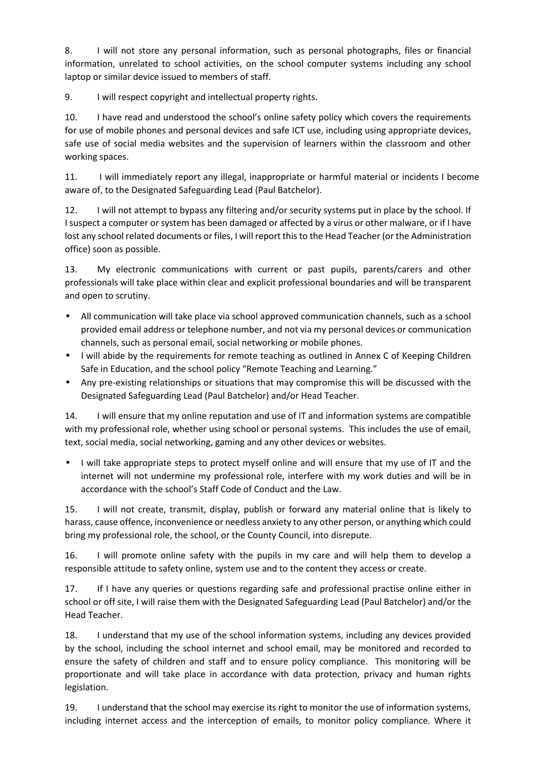8. I will not store any personal information, such as personal photographs, files or financial information, unrelated to school activities, on the school computer systems including any school laptop or similar device issued to members of staff.

9. I will respect copyright and intellectual property rights.

10. I have read and understood the school's online safety policy which covers the requirements for use of mobile phones and personal devices and safe ICT use, including using appropriate devices, safe use of social media websites and the supervision of learners within the classroom and other working spaces.

11. I will immediately report any illegal, inappropriate or harmful material or incidents I become aware of, to the Designated Safeguarding Lead (Paul Batchelor).

12. I will not attempt to bypass any filtering and/or security systems put in place by the school. If I suspect a computer or system has been damaged or affected by a virus or other malware, or if I have lost any school related documents or files, I will report this to the Head Teacher (or the Administration office) soon as possible.

13. My electronic communications with current or past pupils, parents/carers and other professionals will take place within clear and explicit professional boundaries and will be transparent and open to scrutiny.

- All communication will take place via school approved communication channels, such as a school provided email address or telephone number, and not via my personal devices or communication channels, such as personal email, social networking or mobile phones.
- I will abide by the requirements for remote teaching as outlined in Annex C of Keeping Children Safe in Education, and the school policy "Remote Teaching and Learning."
- Any pre-existing relationships or situations that may compromise this will be discussed with the Designated Safeguarding Lead (Paul Batchelor) and/or Head Teacher.

14. I will ensure that my online reputation and use of IT and information systems are compatible with my professional role, whether using school or personal systems. This includes the use of email, text, social media, social networking, gaming and any other devices or websites.

• I will take appropriate steps to protect myself online and will ensure that my use of IT and the internet will not undermine my professional role, interfere with my work duties and will be in accordance with the school's Staff Code of Conduct and the Law.

15. I will not create, transmit, display, publish or forward any material online that is likely to harass, cause offence, inconvenience or needless anxiety to any other person, or anything which could bring my professional role, the school, or the County Council, into disrepute.

16. I will promote online safety with the pupils in my care and will help them to develop a responsible attitude to safety online, system use and to the content they access or create.

17. If I have any queries or questions regarding safe and professional practise online either in school or off site, I will raise them with the Designated Safeguarding Lead (Paul Batchelor) and/or the Head Teacher.

18. I understand that my use of the school information systems, including any devices provided by the school, including the school internet and school email, may be monitored and recorded to ensure the safety of children and staff and to ensure policy compliance. This monitoring will be proportionate and will take place in accordance with data protection, privacy and human rights legislation.

19. I understand that the school may exercise its right to monitor the use of information systems, including internet access and the interception of emails, to monitor policy compliance. Where it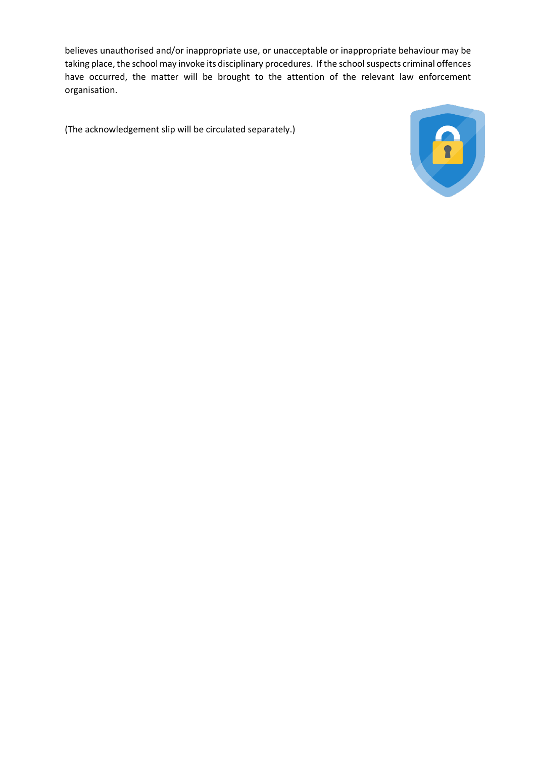believes unauthorised and/or inappropriate use, or unacceptable or inappropriate behaviour may be taking place, the school may invoke its disciplinary procedures. If the school suspects criminal offences have occurred, the matter will be brought to the attention of the relevant law enforcement organisation.

(The acknowledgement slip will be circulated separately.)

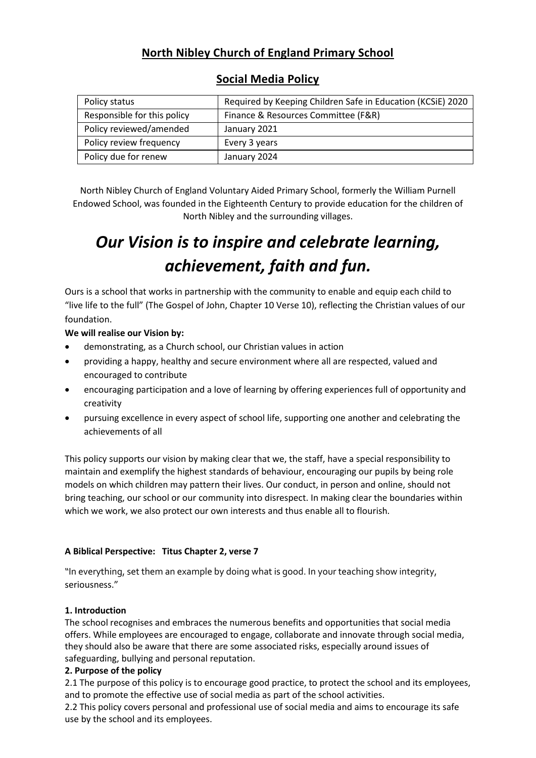## **North Nibley Church of England Primary School**

| Policy status               | Required by Keeping Children Safe in Education (KCSiE) 2020 |
|-----------------------------|-------------------------------------------------------------|
| Responsible for this policy | Finance & Resources Committee (F&R)                         |
| Policy reviewed/amended     | January 2021                                                |
| Policy review frequency     | Every 3 years                                               |
| Policy due for renew        | January 2024                                                |

## **Social Media Policy**

North Nibley Church of England Voluntary Aided Primary School, formerly the William Purnell Endowed School, was founded in the Eighteenth Century to provide education for the children of North Nibley and the surrounding villages.

# *Our Vision is to inspire and celebrate learning, achievement, faith and fun.*

Ours is a school that works in partnership with the community to enable and equip each child to "live life to the full" (The Gospel of John, Chapter 10 Verse 10), reflecting the Christian values of our foundation.

#### **We will realise our Vision by:**

- demonstrating, as a Church school, our Christian values in action
- providing a happy, healthy and secure environment where all are respected, valued and encouraged to contribute
- encouraging participation and a love of learning by offering experiences full of opportunity and creativity
- pursuing excellence in every aspect of school life, supporting one another and celebrating the achievements of all

This policy supports our vision by making clear that we, the staff, have a special responsibility to maintain and exemplify the highest standards of behaviour, encouraging our pupils by being role models on which children may pattern their lives. Our conduct, in person and online, should not bring teaching, our school or our community into disrespect. In making clear the boundaries within which we work, we also protect our own interests and thus enable all to flourish.

### **A Biblical Perspective: Titus Chapter 2, verse 7**

"In everything, set them an example by doing what is good. In your teaching show integrity, seriousness."

#### **1. Introduction**

The school recognises and embraces the numerous benefits and opportunities that social media offers. While employees are encouraged to engage, collaborate and innovate through social media, they should also be aware that there are some associated risks, especially around issues of safeguarding, bullying and personal reputation.

#### **2. Purpose of the policy**

2.1 The purpose of this policy is to encourage good practice, to protect the school and its employees, and to promote the effective use of social media as part of the school activities.

2.2 This policy covers personal and professional use of social media and aims to encourage its safe use by the school and its employees.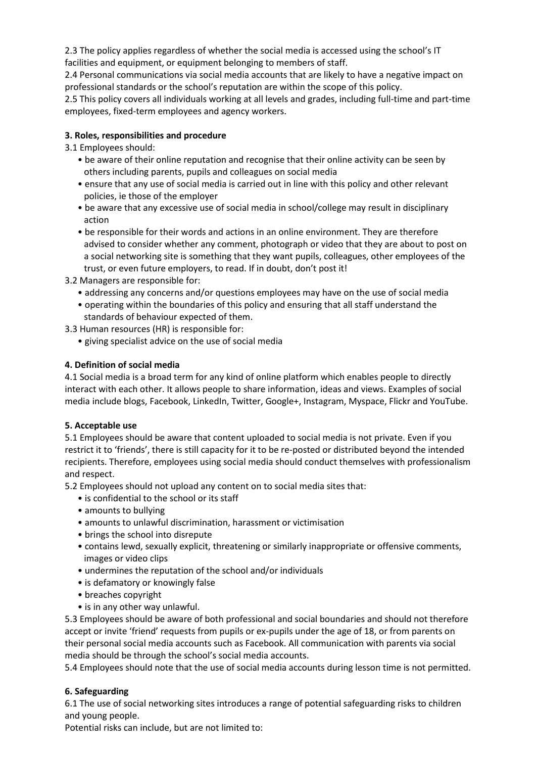2.3 The policy applies regardless of whether the social media is accessed using the school's IT facilities and equipment, or equipment belonging to members of staff.

2.4 Personal communications via social media accounts that are likely to have a negative impact on professional standards or the school's reputation are within the scope of this policy.

2.5 This policy covers all individuals working at all levels and grades, including full-time and part-time employees, fixed-term employees and agency workers.

#### **3. Roles, responsibilities and procedure**

3.1 Employees should:

- be aware of their online reputation and recognise that their online activity can be seen by others including parents, pupils and colleagues on social media
- ensure that any use of social media is carried out in line with this policy and other relevant policies, ie those of the employer
- be aware that any excessive use of social media in school/college may result in disciplinary action
- be responsible for their words and actions in an online environment. They are therefore advised to consider whether any comment, photograph or video that they are about to post on a social networking site is something that they want pupils, colleagues, other employees of the trust, or even future employers, to read. If in doubt, don't post it!
- 3.2 Managers are responsible for:
	- addressing any concerns and/or questions employees may have on the use of social media
	- operating within the boundaries of this policy and ensuring that all staff understand the standards of behaviour expected of them.
- 3.3 Human resources (HR) is responsible for:
	- giving specialist advice on the use of social media

#### **4. Definition of social media**

4.1 Social media is a broad term for any kind of online platform which enables people to directly interact with each other. It allows people to share information, ideas and views. Examples of social media include blogs, Facebook, LinkedIn, Twitter, Google+, Instagram, Myspace, Flickr and YouTube.

#### **5. Acceptable use**

5.1 Employees should be aware that content uploaded to social media is not private. Even if you restrict it to 'friends', there is still capacity for it to be re-posted or distributed beyond the intended recipients. Therefore, employees using social media should conduct themselves with professionalism and respect.

5.2 Employees should not upload any content on to social media sites that:

- is confidential to the school or its staff
- amounts to bullying
- amounts to unlawful discrimination, harassment or victimisation
- brings the school into disrepute
- contains lewd, sexually explicit, threatening or similarly inappropriate or offensive comments, images or video clips
- undermines the reputation of the school and/or individuals
- is defamatory or knowingly false
- breaches copyright
- is in any other way unlawful.

5.3 Employees should be aware of both professional and social boundaries and should not therefore accept or invite 'friend' requests from pupils or ex-pupils under the age of 18, or from parents on their personal social media accounts such as Facebook. All communication with parents via social media should be through the school's social media accounts.

5.4 Employees should note that the use of social media accounts during lesson time is not permitted.

### **6. Safeguarding**

6.1 The use of social networking sites introduces a range of potential safeguarding risks to children and young people.

Potential risks can include, but are not limited to: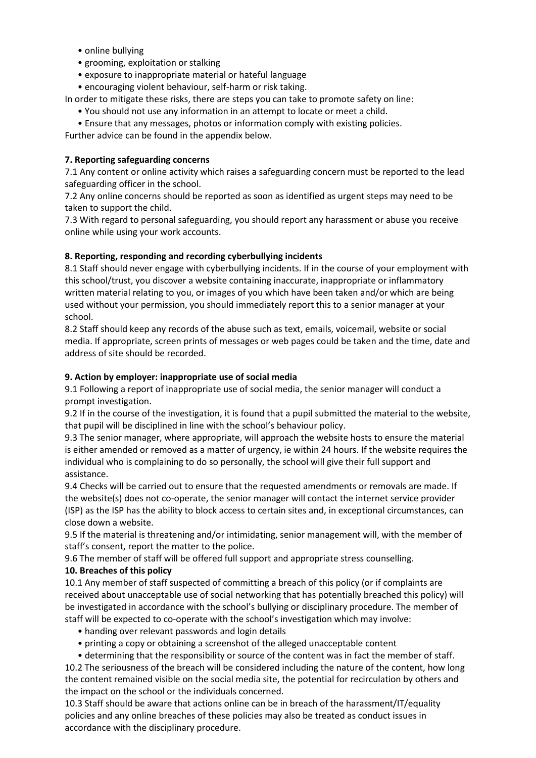- online bullying
- grooming, exploitation or stalking
- exposure to inappropriate material or hateful language
- encouraging violent behaviour, self-harm or risk taking.

In order to mitigate these risks, there are steps you can take to promote safety on line:

- You should not use any information in an attempt to locate or meet a child.
- Ensure that any messages, photos or information comply with existing policies.

Further advice can be found in the appendix below.

#### **7. Reporting safeguarding concerns**

7.1 Any content or online activity which raises a safeguarding concern must be reported to the lead safeguarding officer in the school.

7.2 Any online concerns should be reported as soon as identified as urgent steps may need to be taken to support the child.

7.3 With regard to personal safeguarding, you should report any harassment or abuse you receive online while using your work accounts.

#### **8. Reporting, responding and recording cyberbullying incidents**

8.1 Staff should never engage with cyberbullying incidents. If in the course of your employment with this school/trust, you discover a website containing inaccurate, inappropriate or inflammatory written material relating to you, or images of you which have been taken and/or which are being used without your permission, you should immediately report this to a senior manager at your school.

8.2 Staff should keep any records of the abuse such as text, emails, voicemail, website or social media. If appropriate, screen prints of messages or web pages could be taken and the time, date and address of site should be recorded.

#### **9. Action by employer: inappropriate use of social media**

9.1 Following a report of inappropriate use of social media, the senior manager will conduct a prompt investigation.

9.2 If in the course of the investigation, it is found that a pupil submitted the material to the website, that pupil will be disciplined in line with the school's behaviour policy.

9.3 The senior manager, where appropriate, will approach the website hosts to ensure the material is either amended or removed as a matter of urgency, ie within 24 hours. If the website requires the individual who is complaining to do so personally, the school will give their full support and assistance.

9.4 Checks will be carried out to ensure that the requested amendments or removals are made. If the website(s) does not co-operate, the senior manager will contact the internet service provider (ISP) as the ISP has the ability to block access to certain sites and, in exceptional circumstances, can close down a website.

9.5 If the material is threatening and/or intimidating, senior management will, with the member of staff's consent, report the matter to the police.

9.6 The member of staff will be offered full support and appropriate stress counselling.

#### **10. Breaches of this policy**

10.1 Any member of staff suspected of committing a breach of this policy (or if complaints are received about unacceptable use of social networking that has potentially breached this policy) will be investigated in accordance with the school's bullying or disciplinary procedure. The member of staff will be expected to co-operate with the school's investigation which may involve:

- handing over relevant passwords and login details
- printing a copy or obtaining a screenshot of the alleged unacceptable content
- determining that the responsibility or source of the content was in fact the member of staff.

10.2 The seriousness of the breach will be considered including the nature of the content, how long the content remained visible on the social media site, the potential for recirculation by others and the impact on the school or the individuals concerned.

10.3 Staff should be aware that actions online can be in breach of the harassment/IT/equality policies and any online breaches of these policies may also be treated as conduct issues in accordance with the disciplinary procedure.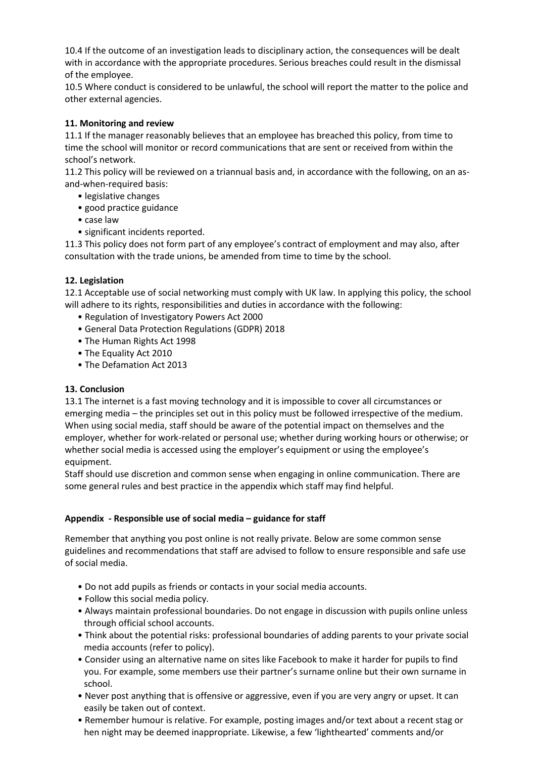10.4 If the outcome of an investigation leads to disciplinary action, the consequences will be dealt with in accordance with the appropriate procedures. Serious breaches could result in the dismissal of the employee.

10.5 Where conduct is considered to be unlawful, the school will report the matter to the police and other external agencies.

#### **11. Monitoring and review**

11.1 If the manager reasonably believes that an employee has breached this policy, from time to time the school will monitor or record communications that are sent or received from within the school's network.

11.2 This policy will be reviewed on a triannual basis and, in accordance with the following, on an asand-when-required basis:

- legislative changes
- good practice guidance
- case law
- significant incidents reported.

11.3 This policy does not form part of any employee's contract of employment and may also, after consultation with the trade unions, be amended from time to time by the school.

#### **12. Legislation**

12.1 Acceptable use of social networking must comply with UK law. In applying this policy, the school will adhere to its rights, responsibilities and duties in accordance with the following:

- Regulation of Investigatory Powers Act 2000
- General Data Protection Regulations (GDPR) 2018
- The Human Rights Act 1998
- The Equality Act 2010
- The Defamation Act 2013

#### **13. Conclusion**

13.1 The internet is a fast moving technology and it is impossible to cover all circumstances or emerging media – the principles set out in this policy must be followed irrespective of the medium. When using social media, staff should be aware of the potential impact on themselves and the employer, whether for work-related or personal use; whether during working hours or otherwise; or whether social media is accessed using the employer's equipment or using the employee's equipment.

Staff should use discretion and common sense when engaging in online communication. There are some general rules and best practice in the appendix which staff may find helpful.

#### **Appendix - Responsible use of social media – guidance for staff**

Remember that anything you post online is not really private. Below are some common sense guidelines and recommendations that staff are advised to follow to ensure responsible and safe use of social media.

- Do not add pupils as friends or contacts in your social media accounts.
- Follow this social media policy.
- Always maintain professional boundaries. Do not engage in discussion with pupils online unless through official school accounts.
- Think about the potential risks: professional boundaries of adding parents to your private social media accounts (refer to policy).
- Consider using an alternative name on sites like Facebook to make it harder for pupils to find you. For example, some members use their partner's surname online but their own surname in school.
- Never post anything that is offensive or aggressive, even if you are very angry or upset. It can easily be taken out of context.
- Remember humour is relative. For example, posting images and/or text about a recent stag or hen night may be deemed inappropriate. Likewise, a few 'lighthearted' comments and/or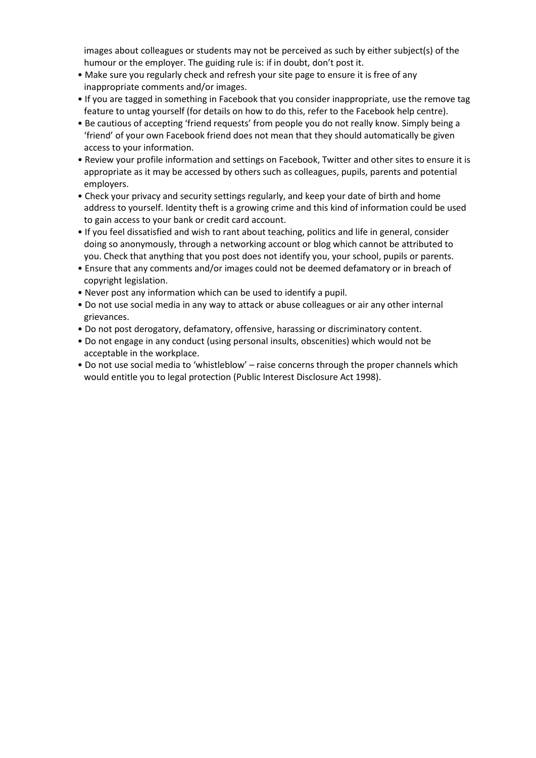images about colleagues or students may not be perceived as such by either subject(s) of the humour or the employer. The guiding rule is: if in doubt, don't post it.

- Make sure you regularly check and refresh your site page to ensure it is free of any inappropriate comments and/or images.
- If you are tagged in something in Facebook that you consider inappropriate, use the remove tag feature to untag yourself (for details on how to do this, refer to the Facebook help centre).
- Be cautious of accepting 'friend requests' from people you do not really know. Simply being a 'friend' of your own Facebook friend does not mean that they should automatically be given access to your information.
- Review your profile information and settings on Facebook, Twitter and other sites to ensure it is appropriate as it may be accessed by others such as colleagues, pupils, parents and potential employers.
- Check your privacy and security settings regularly, and keep your date of birth and home address to yourself. Identity theft is a growing crime and this kind of information could be used to gain access to your bank or credit card account.
- If you feel dissatisfied and wish to rant about teaching, politics and life in general, consider doing so anonymously, through a networking account or blog which cannot be attributed to you. Check that anything that you post does not identify you, your school, pupils or parents.
- Ensure that any comments and/or images could not be deemed defamatory or in breach of copyright legislation.
- Never post any information which can be used to identify a pupil.
- Do not use social media in any way to attack or abuse colleagues or air any other internal grievances.
- Do not post derogatory, defamatory, offensive, harassing or discriminatory content.
- Do not engage in any conduct (using personal insults, obscenities) which would not be acceptable in the workplace.
- Do not use social media to 'whistleblow' raise concerns through the proper channels which would entitle you to legal protection (Public Interest Disclosure Act 1998).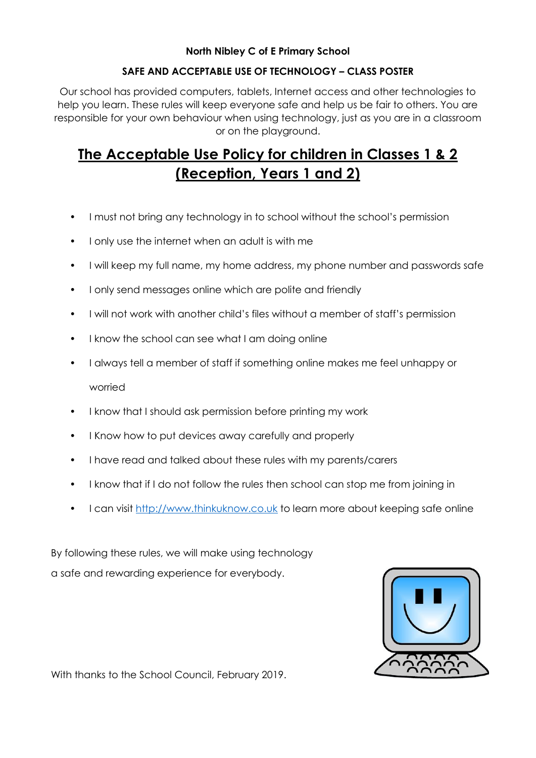### **North Nibley C of E Primary School**

## **SAFE AND ACCEPTABLE USE OF TECHNOLOGY – CLASS POSTER**

Our school has provided computers, tablets, Internet access and other technologies to help you learn. These rules will keep everyone safe and help us be fair to others. You are responsible for your own behaviour when using technology, just as you are in a classroom or on the playground.

# **The Acceptable Use Policy for children in Classes 1 & 2 (Reception, Years 1 and 2)**

- I must not bring any technology in to school without the school's permission
- I only use the internet when an adult is with me
- I will keep my full name, my home address, my phone number and passwords safe
- I only send messages online which are polite and friendly
- I will not work with another child's files without a member of staff's permission
- I know the school can see what I am doing online
- I always tell a member of staff if something online makes me feel unhappy or worried
- I know that I should ask permission before printing my work
- I Know how to put devices away carefully and properly
- I have read and talked about these rules with my parents/carers
- I know that if I do not follow the rules then school can stop me from joining in
- I can visit [http://www.thinkuknow.co.uk](http://www.thinkuknow.co.uk/) to learn more about keeping safe online

By following these rules, we will make using technology a safe and rewarding experience for everybody.



With thanks to the School Council, February 2019.